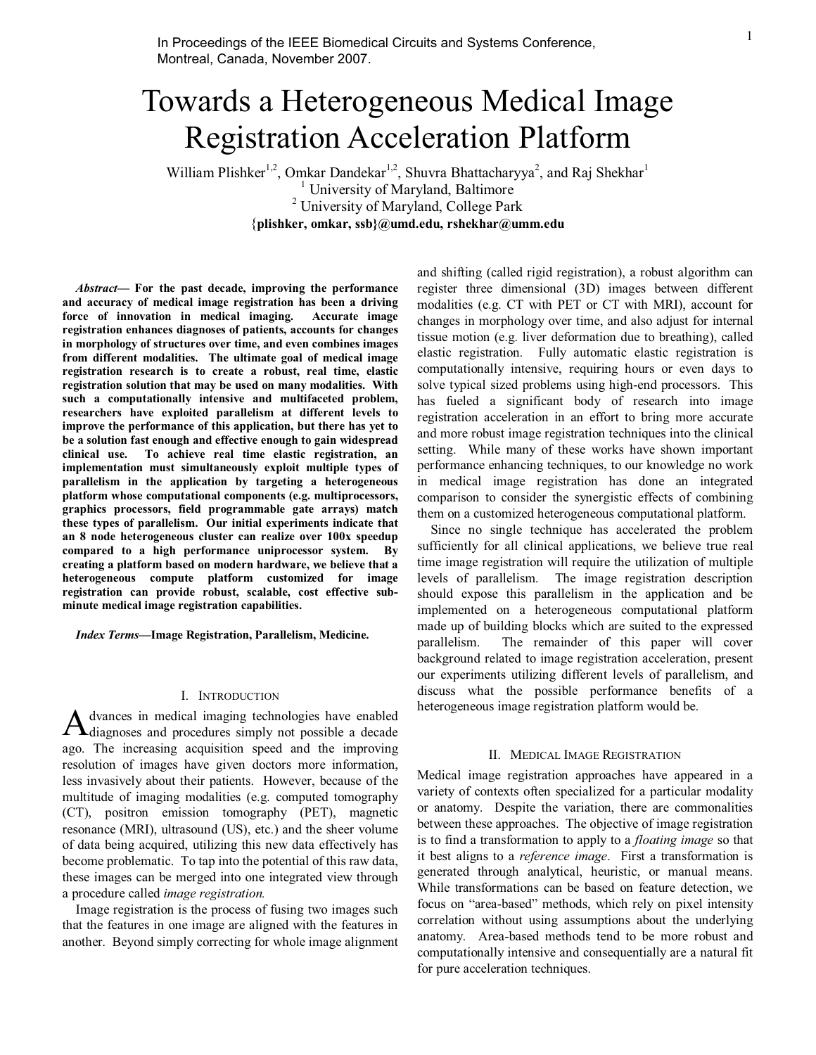# Towards a Heterogeneous Medical Image Registration Acceleration Platform

William Plishker<sup>1,2</sup>, Omkar Dandekar<sup>1,2</sup>, Shuvra Bhattacharyya<sup>2</sup>, and Raj Shekhar<sup>1</sup><br><sup>1</sup> University of Maryland, Baltimore <sup>2</sup> University of Maryland, College Park {**plishker, omkar, ssb}@umd.edu, rshekhar@umm.edu** 

*Abstract***— For the past decade, improving the performance and accuracy of medical image registration has been a driving force of innovation in medical imaging. Accurate image registration enhances diagnoses of patients, accounts for changes in morphology of structures over time, and even combines images from different modalities. The ultimate goal of medical image registration research is to create a robust, real time, elastic registration solution that may be used on many modalities. With such a computationally intensive and multifaceted problem, researchers have exploited parallelism at different levels to improve the performance of this application, but there has yet to be a solution fast enough and effective enough to gain widespread clinical use. To achieve real time elastic registration, an implementation must simultaneously exploit multiple types of parallelism in the application by targeting a heterogeneous platform whose computational components (e.g. multiprocessors, graphics processors, field programmable gate arrays) match these types of parallelism. Our initial experiments indicate that an 8 node heterogeneous cluster can realize over 100x speedup compared to a high performance uniprocessor system. By creating a platform based on modern hardware, we believe that a heterogeneous compute platform customized for image registration can provide robust, scalable, cost effective subminute medical image registration capabilities.** 

*Index Terms***—Image Registration, Parallelism, Medicine.** 

## I. INTRODUCTION

dvances in medical imaging technologies have enabled A dvances in medical imaging technologies have enabled<br>diagnoses and procedures simply not possible a decade ago. The increasing acquisition speed and the improving resolution of images have given doctors more information, less invasively about their patients. However, because of the multitude of imaging modalities (e.g. computed tomography (CT), positron emission tomography (PET), magnetic resonance (MRI), ultrasound (US), etc.) and the sheer volume of data being acquired, utilizing this new data effectively has become problematic. To tap into the potential of this raw data, these images can be merged into one integrated view through a procedure called *image registration.*

Image registration is the process of fusing two images such that the features in one image are aligned with the features in another. Beyond simply correcting for whole image alignment

and shifting (called rigid registration), a robust algorithm can register three dimensional (3D) images between different modalities (e.g. CT with PET or CT with MRI), account for changes in morphology over time, and also adjust for internal tissue motion (e.g. liver deformation due to breathing), called elastic registration. Fully automatic elastic registration is computationally intensive, requiring hours or even days to solve typical sized problems using high-end processors. This has fueled a significant body of research into image registration acceleration in an effort to bring more accurate and more robust image registration techniques into the clinical setting. While many of these works have shown important performance enhancing techniques, to our knowledge no work in medical image registration has done an integrated comparison to consider the synergistic effects of combining them on a customized heterogeneous computational platform.

Since no single technique has accelerated the problem sufficiently for all clinical applications, we believe true real time image registration will require the utilization of multiple levels of parallelism. The image registration description should expose this parallelism in the application and be implemented on a heterogeneous computational platform made up of building blocks which are suited to the expressed parallelism. The remainder of this paper will cover background related to image registration acceleration, present our experiments utilizing different levels of parallelism, and discuss what the possible performance benefits of a heterogeneous image registration platform would be.

## II. MEDICAL IMAGE REGISTRATION

Medical image registration approaches have appeared in a variety of contexts often specialized for a particular modality or anatomy. Despite the variation, there are commonalities between these approaches. The objective of image registration is to find a transformation to apply to a *floating image* so that it best aligns to a *reference image*. First a transformation is generated through analytical, heuristic, or manual means. While transformations can be based on feature detection, we focus on "area-based" methods, which rely on pixel intensity correlation without using assumptions about the underlying anatomy. Area-based methods tend to be more robust and computationally intensive and consequentially are a natural fit for pure acceleration techniques.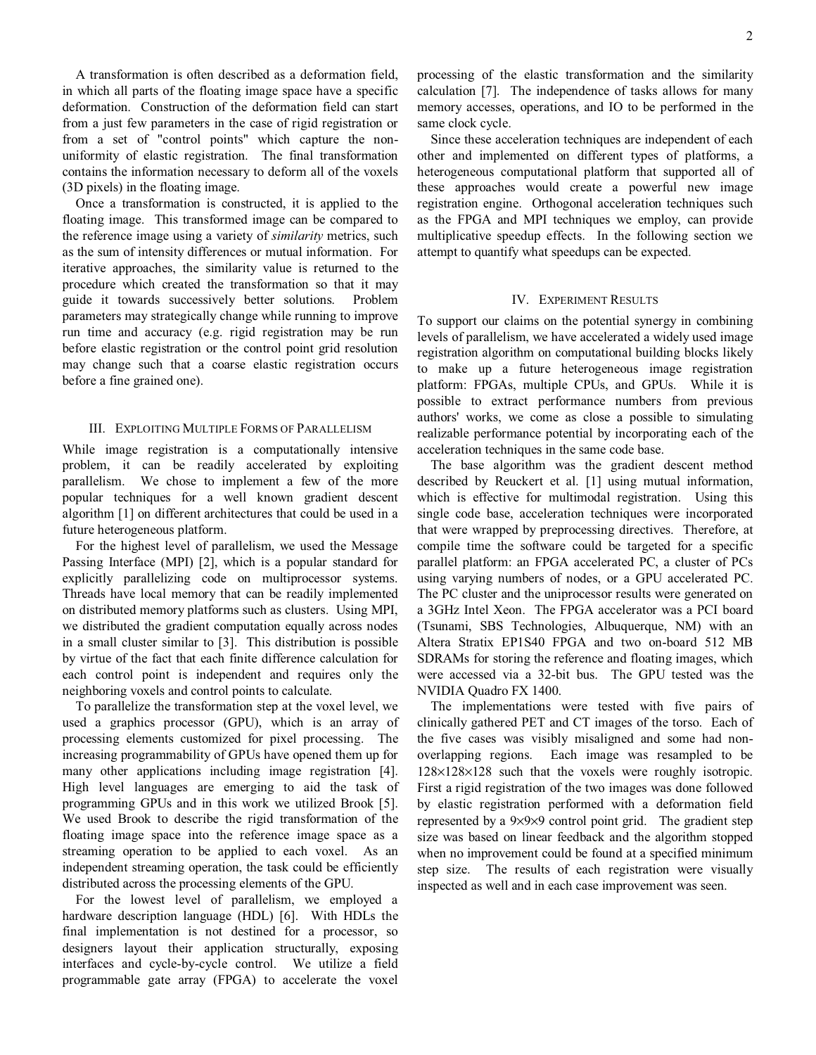A transformation is often described as a deformation field, in which all parts of the floating image space have a specific deformation. Construction of the deformation field can start from a just few parameters in the case of rigid registration or from a set of "control points" which capture the nonuniformity of elastic registration. The final transformation contains the information necessary to deform all of the voxels (3D pixels) in the floating image.

Once a transformation is constructed, it is applied to the floating image. This transformed image can be compared to the reference image using a variety of *similarity* metrics, such as the sum of intensity differences or mutual information. For iterative approaches, the similarity value is returned to the procedure which created the transformation so that it may guide it towards successively better solutions. Problem parameters may strategically change while running to improve run time and accuracy (e.g. rigid registration may be run before elastic registration or the control point grid resolution may change such that a coarse elastic registration occurs before a fine grained one).

### III. EXPLOITING MULTIPLE FORMS OF PARALLELISM

While image registration is a computationally intensive problem, it can be readily accelerated by exploiting parallelism. We chose to implement a few of the more popular techniques for a well known gradient descent algorithm [1] on different architectures that could be used in a future heterogeneous platform.

For the highest level of parallelism, we used the Message Passing Interface (MPI) [2], which is a popular standard for explicitly parallelizing code on multiprocessor systems. Threads have local memory that can be readily implemented on distributed memory platforms such as clusters. Using MPI, we distributed the gradient computation equally across nodes in a small cluster similar to [3]. This distribution is possible by virtue of the fact that each finite difference calculation for each control point is independent and requires only the neighboring voxels and control points to calculate.

To parallelize the transformation step at the voxel level, we used a graphics processor (GPU), which is an array of processing elements customized for pixel processing. The increasing programmability of GPUs have opened them up for many other applications including image registration [4]. High level languages are emerging to aid the task of programming GPUs and in this work we utilized Brook [5]. We used Brook to describe the rigid transformation of the floating image space into the reference image space as a streaming operation to be applied to each voxel. As an independent streaming operation, the task could be efficiently distributed across the processing elements of the GPU.

For the lowest level of parallelism, we employed a hardware description language (HDL) [6]. With HDLs the final implementation is not destined for a processor, so designers layout their application structurally, exposing interfaces and cycle-by-cycle control. We utilize a field programmable gate array (FPGA) to accelerate the voxel

processing of the elastic transformation and the similarity calculation [7]. The independence of tasks allows for many memory accesses, operations, and IO to be performed in the same clock cycle.

Since these acceleration techniques are independent of each other and implemented on different types of platforms, a heterogeneous computational platform that supported all of these approaches would create a powerful new image registration engine. Orthogonal acceleration techniques such as the FPGA and MPI techniques we employ, can provide multiplicative speedup effects. In the following section we attempt to quantify what speedups can be expected.

# IV. EXPERIMENT RESULTS

To support our claims on the potential synergy in combining levels of parallelism, we have accelerated a widely used image registration algorithm on computational building blocks likely to make up a future heterogeneous image registration platform: FPGAs, multiple CPUs, and GPUs. While it is possible to extract performance numbers from previous authors' works, we come as close a possible to simulating realizable performance potential by incorporating each of the acceleration techniques in the same code base.

The base algorithm was the gradient descent method described by Reuckert et al. [1] using mutual information, which is effective for multimodal registration. Using this single code base, acceleration techniques were incorporated that were wrapped by preprocessing directives. Therefore, at compile time the software could be targeted for a specific parallel platform: an FPGA accelerated PC, a cluster of PCs using varying numbers of nodes, or a GPU accelerated PC. The PC cluster and the uniprocessor results were generated on a 3GHz Intel Xeon. The FPGA accelerator was a PCI board (Tsunami, SBS Technologies, Albuquerque, NM) with an Altera Stratix EP1S40 FPGA and two on-board 512 MB SDRAMs for storing the reference and floating images, which were accessed via a 32-bit bus. The GPU tested was the NVIDIA Quadro FX 1400.

The implementations were tested with five pairs of clinically gathered PET and CT images of the torso. Each of the five cases was visibly misaligned and some had nonoverlapping regions. Each image was resampled to be 128×128×128 such that the voxels were roughly isotropic. First a rigid registration of the two images was done followed by elastic registration performed with a deformation field represented by a 9×9×9 control point grid. The gradient step size was based on linear feedback and the algorithm stopped when no improvement could be found at a specified minimum step size. The results of each registration were visually inspected as well and in each case improvement was seen.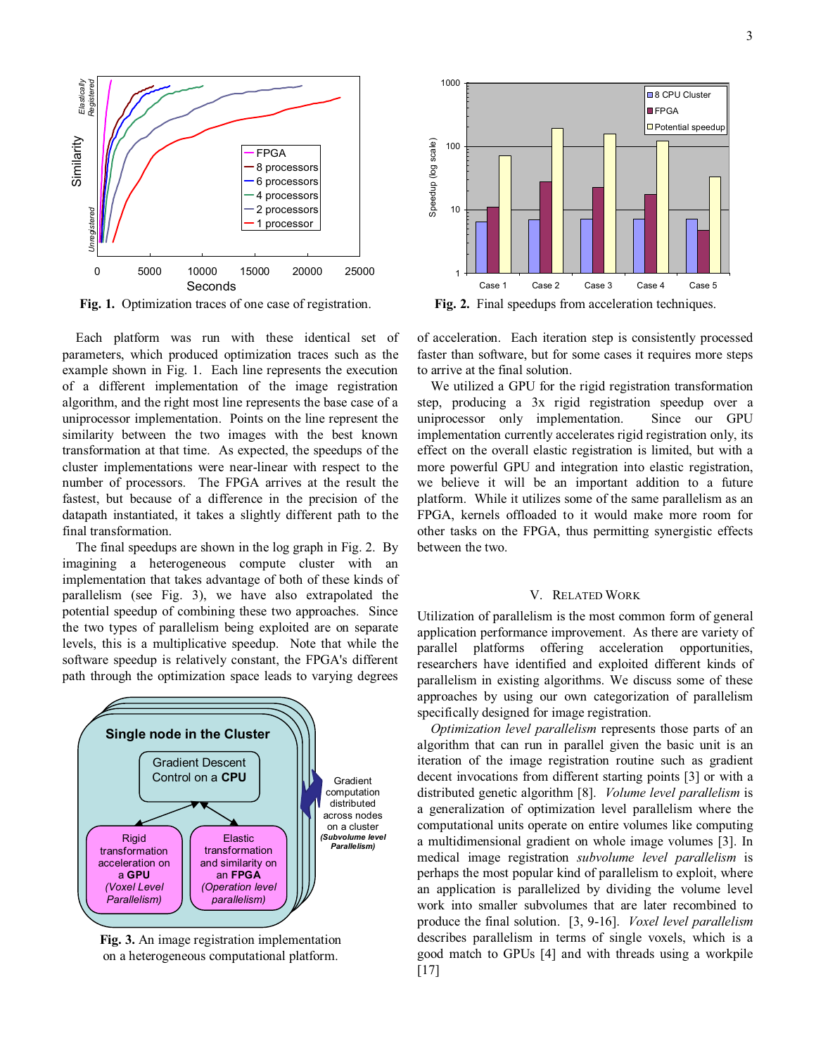

**Fig. 1.** Optimization traces of one case of registration.

Each platform was run with these identical set of parameters, which produced optimization traces such as the example shown in Fig. 1. Each line represents the execution of a different implementation of the image registration algorithm, and the right most line represents the base case of a uniprocessor implementation. Points on the line represent the similarity between the two images with the best known transformation at that time. As expected, the speedups of the cluster implementations were near-linear with respect to the number of processors. The FPGA arrives at the result the fastest, but because of a difference in the precision of the datapath instantiated, it takes a slightly different path to the final transformation.

The final speedups are shown in the log graph in Fig. 2. By imagining a heterogeneous compute cluster with an implementation that takes advantage of both of these kinds of parallelism (see Fig. 3), we have also extrapolated the potential speedup of combining these two approaches. Since the two types of parallelism being exploited are on separate levels, this is a multiplicative speedup. Note that while the software speedup is relatively constant, the FPGA's different path through the optimization space leads to varying degrees



**Fig. 3.** An image registration implementation on a heterogeneous computational platform.



**Fig. 2.** Final speedups from acceleration techniques.

of acceleration. Each iteration step is consistently processed faster than software, but for some cases it requires more steps to arrive at the final solution.

We utilized a GPU for the rigid registration transformation step, producing a 3x rigid registration speedup over a uniprocessor only implementation. Since our GPU implementation currently accelerates rigid registration only, its effect on the overall elastic registration is limited, but with a more powerful GPU and integration into elastic registration, we believe it will be an important addition to a future platform. While it utilizes some of the same parallelism as an FPGA, kernels offloaded to it would make more room for other tasks on the FPGA, thus permitting synergistic effects between the two.

# V. RELATED WORK

Utilization of parallelism is the most common form of general application performance improvement. As there are variety of parallel platforms offering acceleration opportunities, researchers have identified and exploited different kinds of parallelism in existing algorithms. We discuss some of these approaches by using our own categorization of parallelism specifically designed for image registration.

*Optimization level parallelism* represents those parts of an algorithm that can run in parallel given the basic unit is an iteration of the image registration routine such as gradient decent invocations from different starting points [3] or with a distributed genetic algorithm [8]. *Volume level parallelism* is a generalization of optimization level parallelism where the computational units operate on entire volumes like computing a multidimensional gradient on whole image volumes [3]. In medical image registration *subvolume level parallelism* is perhaps the most popular kind of parallelism to exploit, where an application is parallelized by dividing the volume level work into smaller subvolumes that are later recombined to produce the final solution. [3, 9-16]. *Voxel level parallelism* describes parallelism in terms of single voxels, which is a good match to GPUs [4] and with threads using a workpile [17]